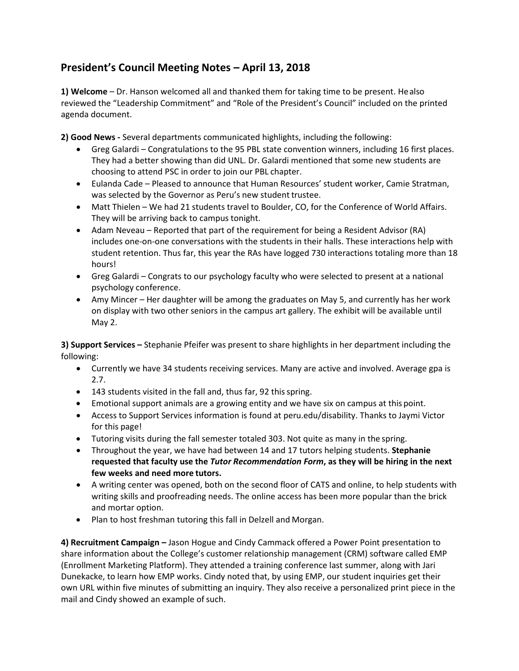## **President's Council Meeting Notes – April 13, 2018**

**1) Welcome** – Dr. Hanson welcomed all and thanked them for taking time to be present. Healso reviewed the "Leadership Commitment" and "Role of the President's Council" included on the printed agenda document.

**2) Good News -** Several departments communicated highlights, including the following:

- · Greg Galardi Congratulations to the 95 PBL state convention winners, including 16 first places. They had a better showing than did UNL. Dr. Galardi mentioned that some new students are choosing to attend PSC in order to join our PBL chapter.
- · Eulanda Cade Pleased to announce that Human Resources' student worker, Camie Stratman, was selected by the Governor as Peru's new student trustee.
- · Matt Thielen We had 21 students travel to Boulder, CO, for the Conference of World Affairs. They will be arriving back to campus tonight.
- · Adam Neveau Reported that part of the requirement for being a Resident Advisor (RA) includes one-on-one conversations with the students in their halls. These interactions help with student retention. Thus far, this year the RAs have logged 730 interactions totaling more than 18 hours!
- · Greg Galardi Congrats to our psychology faculty who were selected to present at a national psychology conference.
- · Amy Mincer Her daughter will be among the graduates on May 5, and currently has her work on display with two other seniors in the campus art gallery. The exhibit will be available until May 2.

**3) Support Services –** Stephanie Pfeifer was present to share highlights in her department including the following:

- · Currently we have 34 students receiving services. Many are active and involved. Average gpa is 2.7.
- · 143 students visited in the fall and, thus far, 92 thisspring.
- · Emotional support animals are a growing entity and we have six on campus at this point.
- · Access to Support Services information is found at peru.edu/disability. Thanks to Jaymi Victor for this page!
- · Tutoring visits during the fall semester totaled 303. Not quite as many in the spring.
- · Throughout the year, we have had between 14 and 17 tutors helping students. **Stephanie requested that faculty use the** *Tutor Recommendation Form***, as they will be hiring in the next few weeks and need more tutors.**
- · A writing center was opened, both on the second floor of CATS and online, to help students with writing skills and proofreading needs. The online access has been more popular than the brick and mortar option.
- · Plan to host freshman tutoring this fall in Delzell and Morgan.

**4) Recruitment Campaign –** Jason Hogue and Cindy Cammack offered a Power Point presentation to share information about the College's customer relationship management (CRM) software called EMP (Enrollment Marketing Platform). They attended a training conference last summer, along with Jari Dunekacke, to learn how EMP works. Cindy noted that, by using EMP, our student inquiries get their own URL within five minutes of submitting an inquiry. They also receive a personalized print piece in the mail and Cindy showed an example of such.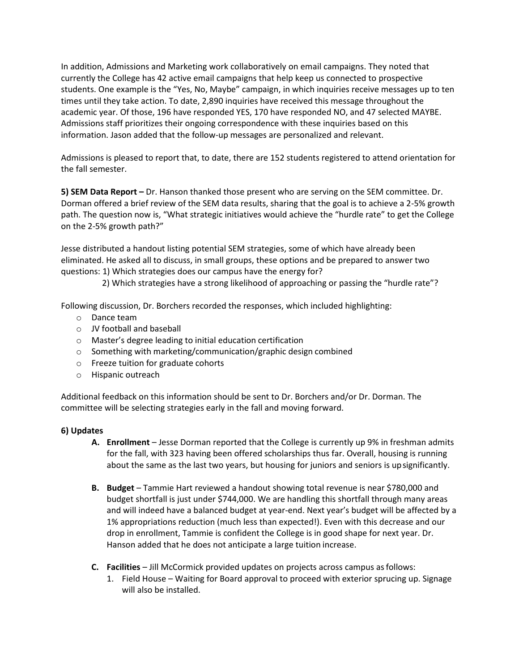In addition, Admissions and Marketing work collaboratively on email campaigns. They noted that currently the College has 42 active email campaigns that help keep us connected to prospective students. One example is the "Yes, No, Maybe" campaign, in which inquiries receive messages up to ten times until they take action. To date, 2,890 inquiries have received this message throughout the academic year. Of those, 196 have responded YES, 170 have responded NO, and 47 selected MAYBE. Admissions staff prioritizes their ongoing correspondence with these inquiries based on this information. Jason added that the follow-up messages are personalized and relevant.

Admissions is pleased to report that, to date, there are 152 students registered to attend orientation for the fall semester.

**5) SEM Data Report –** Dr. Hanson thanked those present who are serving on the SEM committee. Dr. Dorman offered a brief review of the SEM data results, sharing that the goal is to achieve a 2-5% growth path. The question now is, "What strategic initiatives would achieve the "hurdle rate" to get the College on the 2-5% growth path?"

Jesse distributed a handout listing potential SEM strategies, some of which have already been eliminated. He asked all to discuss, in small groups, these options and be prepared to answer two questions: 1) Which strategies does our campus have the energy for?

2) Which strategies have a strong likelihood of approaching or passing the "hurdle rate"?

Following discussion, Dr. Borchers recorded the responses, which included highlighting:

- o Dance team
- o JV football and baseball
- o Master's degree leading to initial education certification
- o Something with marketing/communication/graphic design combined
- o Freeze tuition for graduate cohorts
- o Hispanic outreach

Additional feedback on this information should be sent to Dr. Borchers and/or Dr. Dorman. The committee will be selecting strategies early in the fall and moving forward.

## **6) Updates**

- **A. Enrollment**  Jesse Dorman reported that the College is currently up 9% in freshman admits for the fall, with 323 having been offered scholarships thus far. Overall, housing is running about the same as the last two years, but housing for juniors and seniors is upsignificantly.
- **B. Budget**  Tammie Hart reviewed a handout showing total revenue is near \$780,000 and budget shortfall is just under \$744,000. We are handling this shortfall through many areas and will indeed have a balanced budget at year-end. Next year's budget will be affected by a 1% appropriations reduction (much less than expected!). Even with this decrease and our drop in enrollment, Tammie is confident the College is in good shape for next year. Dr. Hanson added that he does not anticipate a large tuition increase.
- **C. Facilities**  Jill McCormick provided updates on projects across campus asfollows:
	- 1. Field House Waiting for Board approval to proceed with exterior sprucing up. Signage will also be installed.